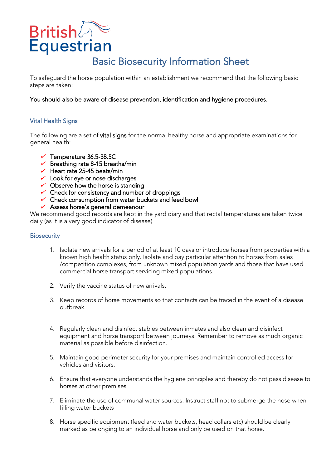# **British**

## Basic Biosecurity Information Sheet<br>To safequard the horse population within an establishment we recommend that the following basic

steps are taken: steps are taken:

### You should also be aware of disease prevention, identification and hygiene procedures.

#### Í Vital Health Signs

The following are a set of **vital signs** for the normal healthy horse and appropriate examinations for general health: general health:

- $\checkmark$  Temperature 36.5-38.5C
- $\overline{V}$  Breathing rate 8-15 brea
- $\checkmark$  Heart rate 25-45 beats/min
- $\checkmark$  Look for eve or nose discharge
- $\sim$  Observe how the horse is stand
- ← Check for consistency and number of droppings<br>← Check consumption from water buckets and fee
- 
- Check consumption from water buckets and feed bowlst and feed bowlst and feed bowlst and feed bowlst and feed bowlst and feed bowlst and feed bowlst and feed bowlst and feed bowlst and feed bowlst and feed bowlst and feed

We recommend good records are kept in the yard diary and that rectal temperatures are taken twice We record the yard records are the yard of the yard diary and the yard temperatures are taken that rectal tempe<br>daily (as it is a very good indicator of disease)  $\alpha$  version as y good indicator of disease)

#### **Biosecurity**

- 1. Isolate new arrivals for a period of at least 10 days or introduce horses from properties with a /competition complexes, from unknown mixed population yards and those that have used commercial horse transport servicing mixed populations. commercial horse transport servicing mixed populations.
- 2. Verify the vaccine status of new arrivals.
- 3. Keep records of horse movements so that contacts can be traced in the event of a disease outbreak.
- 4. Regularly clean and disinfect stables between inmates and also clean and disinfect equipment and horse transport between journeys. Remember to remove as much organic equipment and horse transport between journeys. Remember to remove as much or produce as much or produce as mu<br>material as nossible before disinfection material as possible before disinfection.
- 5. Maintain good perimeter security for your premises and maintain controlled access for vehicles and visitors.
- horses at other premises horses at other premises
- 7. Eliminate the use of communal water sources. Instruct staff not to submerge the hose when filling water buckets
- 8. Horse specific equipment (feed and water buckets, head collars etc) should be clearly marked as belonging to an individual horse and only be used on that horse. marked as belonging to an individual horse and only be used on that horse.